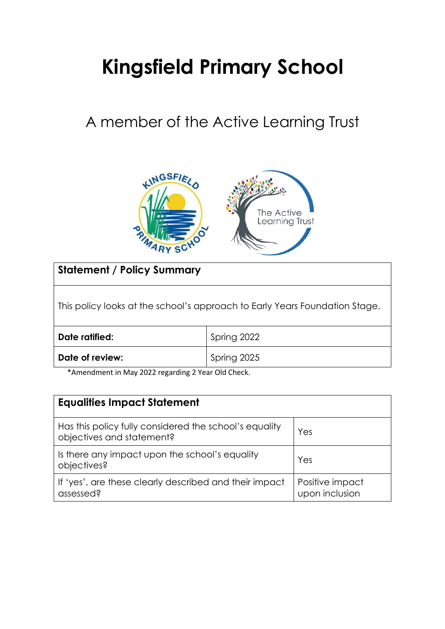# **Kingsfield Primary School**

# A member of the Active Learning Trust



**Statement / Policy Summary**

This policy looks at the school's approach to Early Years Foundation Stage.

| Date ratified:  | Spring 2022 |
|-----------------|-------------|
| Date of review: | Spring 2025 |

\*Amendment in May 2022 regarding 2 Year Old Check.

| <b>Equalities Impact Statement</b>                                                  |                                   |  |
|-------------------------------------------------------------------------------------|-----------------------------------|--|
| Has this policy fully considered the school's equality<br>objectives and statement? | Yes                               |  |
| Is there any impact upon the school's equality<br>objectives?                       | Yes                               |  |
| If 'yes', are these clearly described and their impact<br>assessed?                 | Positive impact<br>upon inclusion |  |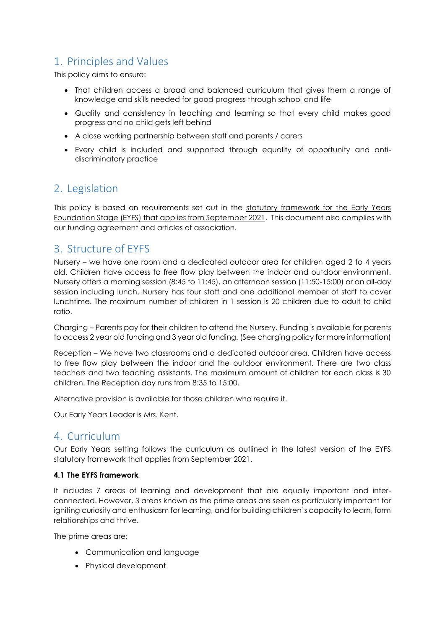# 1. Principles and Values

This policy aims to ensure:

- That children access a broad and balanced curriculum that gives them a range of knowledge and skills needed for good progress through school and life
- Quality and consistency in teaching and learning so that every child makes good progress and no child gets left behind
- A close working partnership between staff and parents / carers
- Every child is included and supported through equality of opportunity and antidiscriminatory practice

# 2. Legislation

This policy is based on requirements set out in the statutory framework for the Early Years [Foundation Stage \(EYFS\) that applies from September 2021.](https://www.gov.uk/government/publications/early-years-foundation-stage-framework--2/) This document also complies with our funding agreement and articles of association.

# 3. Structure of EYFS

Nursery – we have one room and a dedicated outdoor area for children aged 2 to 4 years old. Children have access to free flow play between the indoor and outdoor environment. Nursery offers a morning session (8:45 to 11:45), an afternoon session (11:50-15:00) or an all-day session including lunch. Nursery has four staff and one additional member of staff to cover lunchtime. The maximum number of children in 1 session is 20 children due to adult to child ratio.

Charging – Parents pay for their children to attend the Nursery. Funding is available for parents to access 2 year old funding and 3 year old funding. (See charging policy for more information)

Reception – We have two classrooms and a dedicated outdoor area. Children have access to free flow play between the indoor and the outdoor environment. There are two class teachers and two teaching assistants. The maximum amount of children for each class is 30 children. The Reception day runs from 8:35 to 15:00.

Alternative provision is available for those children who require it.

Our Early Years Leader is Mrs. Kent.

# 4. Curriculum

Our Early Years setting follows the curriculum as outlined in the latest version of the EYFS statutory framework that applies from September 2021.

### **4.1 The EYFS framework**

It includes 7 areas of learning and development that are equally important and interconnected. However, 3 areas known as the prime areas are seen as particularly important for igniting curiosity and enthusiasm for learning, and for building children's capacity to learn, form relationships and thrive.

The prime areas are:

- Communication and language
- Physical development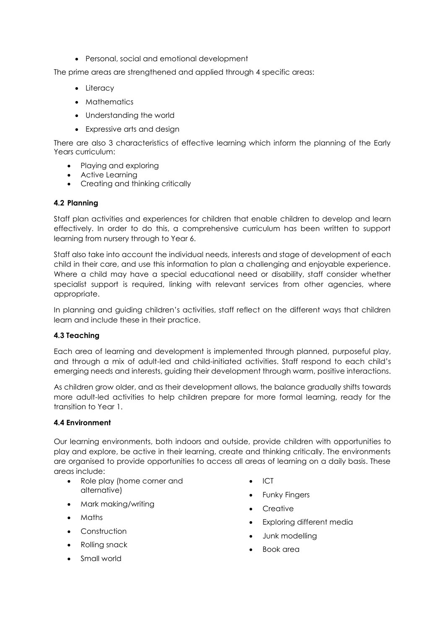Personal, social and emotional development

The prime areas are strengthened and applied through 4 specific areas:

- Literacy
- Mathematics
- Understanding the world
- Expressive arts and design

There are also 3 characteristics of effective learning which inform the planning of the Early Years curriculum:

- Playing and exploring
- Active Learning
- Creating and thinking critically

#### **4.2 Planning**

Staff plan activities and experiences for children that enable children to develop and learn effectively. In order to do this, a comprehensive curriculum has been written to support learning from nursery through to Year 6.

Staff also take into account the individual needs, interests and stage of development of each child in their care, and use this information to plan a challenging and enjoyable experience. Where a child may have a special educational need or disability, staff consider whether specialist support is required, linking with relevant services from other agencies, where appropriate.

In planning and guiding children's activities, staff reflect on the different ways that children learn and include these in their practice.

### **4.3 Teaching**

Each area of learning and development is implemented through planned, purposeful play, and through a mix of adult-led and child-initiated activities. Staff respond to each child's emerging needs and interests, guiding their development through warm, positive interactions.

As children grow older, and as their development allows, the balance gradually shifts towards more adult-led activities to help children prepare for more formal learning, ready for the transition to Year 1.

#### **4.4 Environment**

Our learning environments, both indoors and outside, provide children with opportunities to play and explore, be active in their learning, create and thinking critically. The environments are organised to provide opportunities to access all areas of learning on a daily basis. These areas include:

- Role play (home corner and alternative)
- Mark making/writing
- Maths
- Construction
- Rolling snack
- Small world
- $\bullet$  ICT
- Funky Fingers
- Creative
- Exploring different media
- Junk modelling
- Book area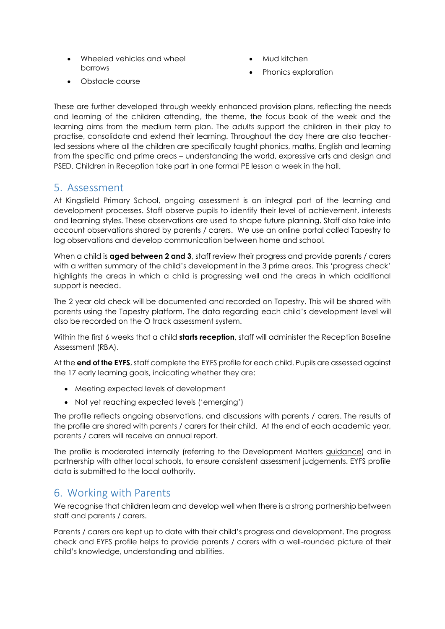- Wheeled vehicles and wheel barrows
- Mud kitchen
- Phonics exploration

Obstacle course

These are further developed through weekly enhanced provision plans, reflecting the needs and learning of the children attending, the theme, the focus book of the week and the learning aims from the medium term plan. The adults support the children in their play to practise, consolidate and extend their learning. Throughout the day there are also teacherled sessions where all the children are specifically taught phonics, maths, English and learning from the specific and prime areas – understanding the world, expressive arts and design and PSED. Children in Reception take part in one formal PE lesson a week in the hall.

## 5. Assessment

At Kingsfield Primary School, ongoing assessment is an integral part of the learning and development processes. Staff observe pupils to identify their level of achievement, interests and learning styles. These observations are used to shape future planning. Staff also take into account observations shared by parents / carers. We use an online portal called Tapestry to log observations and develop communication between home and school.

When a child is **aged between 2 and 3**, staff review their progress and provide parents / carers with a written summary of the child's development in the 3 prime areas. This 'progress check' highlights the areas in which a child is progressing well and the areas in which additional support is needed.

The 2 year old check will be documented and recorded on Tapestry. This will be shared with parents using the Tapestry platform. The data regarding each child's development level will also be recorded on the O track assessment system.

Within the first 6 weeks that a child **starts reception**, staff will administer the Reception Baseline Assessment (RBA).

At the **end of the EYFS**, staff complete the EYFS profile for each child. Pupils are assessed against the 17 early learning goals, indicating whether they are:

- Meeting expected levels of development
- Not yet reaching expected levels ('emerging')

The profile reflects ongoing observations, and discussions with parents / carers. The results of the profile are shared with parents / carers for their child. At the end of each academic year, parents / carers will receive an annual report.

The profile is moderated internally (referring to the Development Matters [guidance\)](https://www.gov.uk/government/publications/development-matters--2) and in partnership with other local schools, to ensure consistent assessment judgements. EYFS profile data is submitted to the local authority.

# 6. Working with Parents

We recognise that children learn and develop well when there is a strong partnership between staff and parents / carers.

Parents / carers are kept up to date with their child's progress and development. The progress check and EYFS profile helps to provide parents / carers with a well-rounded picture of their child's knowledge, understanding and abilities.